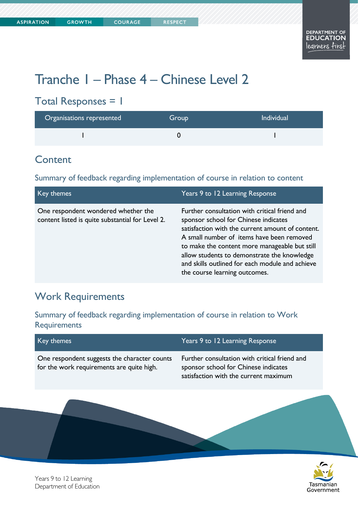# Tranche 1 – Phase 4 – Chinese Level 2

## Total Responses = 1

| Organisations represented | Group | <b>Individual</b> |
|---------------------------|-------|-------------------|
|                           |       |                   |

#### **Content**

Summary of feedback regarding implementation of course in relation to content

| Key themes                                                                              | Years 9 to 12 Learning Response                                                                                                                                                                                                                                                                                                                                            |
|-----------------------------------------------------------------------------------------|----------------------------------------------------------------------------------------------------------------------------------------------------------------------------------------------------------------------------------------------------------------------------------------------------------------------------------------------------------------------------|
| One respondent wondered whether the<br>content listed is quite substantial for Level 2. | Further consultation with critical friend and<br>sponsor school for Chinese indicates<br>satisfaction with the current amount of content.<br>A small number of items have been removed<br>to make the content more manageable but still<br>allow students to demonstrate the knowledge<br>and skills outlined for each module and achieve<br>the course learning outcomes. |

### Work Requirements

Summary of feedback regarding implementation of course in relation to Work **Requirements** 

| Key themes                                                                                | Years 9 to 12 Learning Response                                                                                                |
|-------------------------------------------------------------------------------------------|--------------------------------------------------------------------------------------------------------------------------------|
| One respondent suggests the character counts<br>for the work requirements are quite high. | Further consultation with critical friend and<br>sponsor school for Chinese indicates<br>satisfaction with the current maximum |
|                                                                                           |                                                                                                                                |
|                                                                                           |                                                                                                                                |



Years 9 to 12 Learning Department of Education